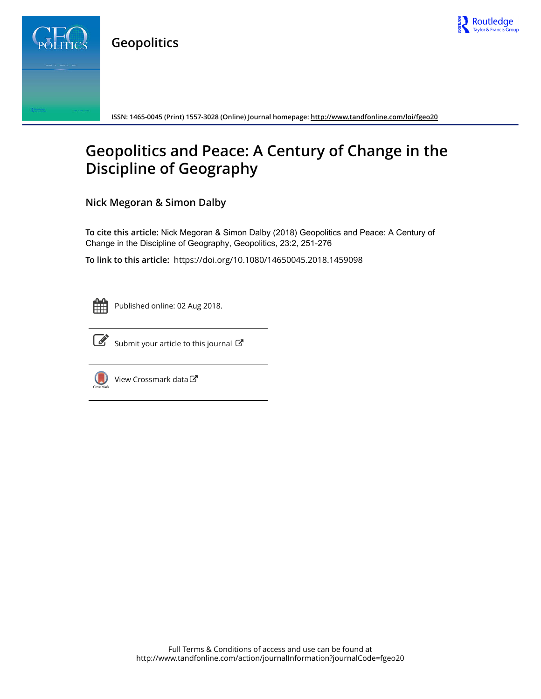

Geopolitics



ISSN: 1465-0045 (Print) 1557-3028 (Online) Journal homepage: http://www.tandfonline.com/loi/fgeo20

# Geopolitics and Peace: A Century of Change in the Discipline of Geography

Nick Megoran & Simon Dalby

To cite this article: Nick Megoran & Simon Dalby (2018) Geopolitics and Peace: A Century of Change in the Discipline of Geography, Geopolitics, 23:2, 251-276

To link to this article: https://doi.org/10.1080/14650045.2018.1459098



Published online: 02 Aug 2018.



 $\overline{\mathscr{L}}$  Submit your article to this journal  $\mathscr{L}$ 



 $\bigcirc$  View Crossmark data  $\mathbb{Z}$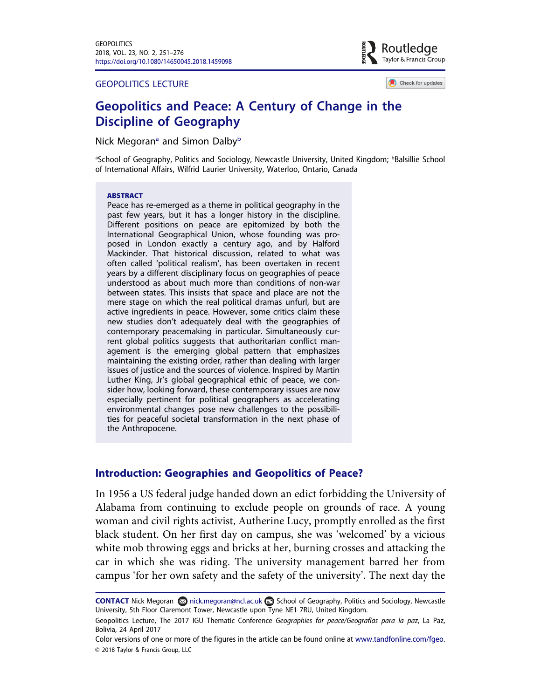#### GEOPOLITICS LECTURE



Check for updates

# Geopolitics and Peace: A Century of Change in the Discipline of Geography

Nick Megoran<sup>a</sup> and Simon Dalby<sup>b</sup>

<sup>a</sup>School of Geography, Politics and Sociology, Newcastle University, United Kingdom; bBalsillie School of International Affairs, Wilfrid Laurier University, Waterloo, Ontario, Canada

#### ABSTRACT

Peace has re-emerged as a theme in political geography in the past few years, but it has a longer history in the discipline. Different positions on peace are epitomized by both the International Geographical Union, whose founding was proposed in London exactly a century ago, and by Halford Mackinder. That historical discussion, related to what was often called 'political realism', has been overtaken in recent years by a different disciplinary focus on geographies of peace understood as about much more than conditions of non-war between states. This insists that space and place are not the mere stage on which the real political dramas unfurl, but are active ingredients in peace. However, some critics claim these new studies don't adequately deal with the geographies of contemporary peacemaking in particular. Simultaneously current global politics suggests that authoritarian conflict management is the emerging global pattern that emphasizes maintaining the existing order, rather than dealing with larger issues of justice and the sources of violence. Inspired by Martin Luther King, Jr's global geographical ethic of peace, we consider how, looking forward, these contemporary issues are now especially pertinent for political geographers as accelerating environmental changes pose new challenges to the possibilities for peaceful societal transformation in the next phase of the Anthropocene.

# Introduction: Geographies and Geopolitics of Peace?

In 1956 a US federal judge handed down an edict forbidding the University of Alabama from continuing to exclude people on grounds of race. A young woman and civil rights activist, Autherine Lucy, promptly enrolled as the first black student. On her first day on campus, she was 'welcomed' by a vicious white mob throwing eggs and bricks at her, burning crosses and attacking the car in which she was riding. The university management barred her from campus 'for her own safety and the safety of the university'. The next day the

CONTACT Nick Megoran and nick.megoran@ncl.ac.uk so School of Geography, Politics and Sociology, Newcastle University, 5th Floor Claremont Tower, Newcastle upon Tyne NE1 7RU, United Kingdom.

Geopolitics Lecture, The 2017 IGU Thematic Conference Geographies for peace/Geografías para la paz, La Paz, Bolivia, 24 April 2017

Color versions of one or more of the figures in the article can be found online at www.tandfonline.com/fgeo. © 2018 Taylor & Francis Group, LLC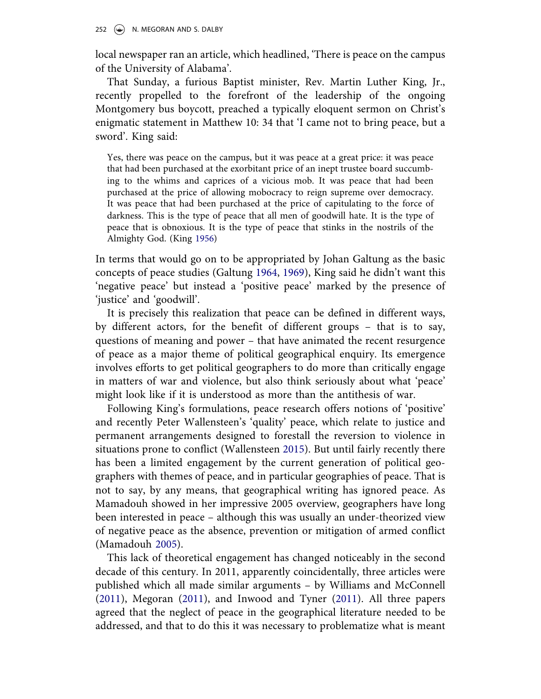#### 252 (C) N. MEGORAN AND S. DALBY

local newspaper ran an article, which headlined, 'There is peace on the campus of the University of Alabama'.

That Sunday, a furious Baptist minister, Rev. Martin Luther King, Jr., recently propelled to the forefront of the leadership of the ongoing Montgomery bus boycott, preached a typically eloquent sermon on Christ's enigmatic statement in Matthew 10: 34 that 'I came not to bring peace, but a sword'. King said:

Yes, there was peace on the campus, but it was peace at a great price: it was peace that had been purchased at the exorbitant price of an inept trustee board succumbing to the whims and caprices of a vicious mob. It was peace that had been purchased at the price of allowing mobocracy to reign supreme over democracy. It was peace that had been purchased at the price of capitulating to the force of darkness. This is the type of peace that all men of goodwill hate. It is the type of peace that is obnoxious. It is the type of peace that stinks in the nostrils of the Almighty God. (King 1956)

In terms that would go on to be appropriated by Johan Galtung as the basic concepts of peace studies (Galtung 1964, 1969), King said he didn't want this 'negative peace' but instead a 'positive peace' marked by the presence of 'justice' and 'goodwill'.

It is precisely this realization that peace can be defined in different ways, by different actors, for the benefit of different groups – that is to say, questions of meaning and power – that have animated the recent resurgence of peace as a major theme of political geographical enquiry. Its emergence involves efforts to get political geographers to do more than critically engage in matters of war and violence, but also think seriously about what 'peace' might look like if it is understood as more than the antithesis of war.

Following King's formulations, peace research offers notions of 'positive' and recently Peter Wallensteen's 'quality' peace, which relate to justice and permanent arrangements designed to forestall the reversion to violence in situations prone to conflict (Wallensteen 2015). But until fairly recently there has been a limited engagement by the current generation of political geographers with themes of peace, and in particular geographies of peace. That is not to say, by any means, that geographical writing has ignored peace. As Mamadouh showed in her impressive 2005 overview, geographers have long been interested in peace – although this was usually an under-theorized view of negative peace as the absence, prevention or mitigation of armed conflict (Mamadouh 2005).

This lack of theoretical engagement has changed noticeably in the second decade of this century. In 2011, apparently coincidentally, three articles were published which all made similar arguments – by Williams and McConnell (2011), Megoran (2011), and Inwood and Tyner (2011). All three papers agreed that the neglect of peace in the geographical literature needed to be addressed, and that to do this it was necessary to problematize what is meant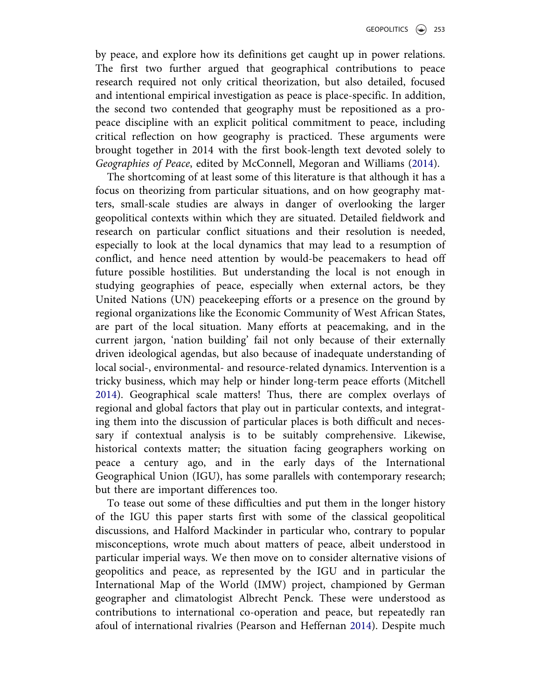by peace, and explore how its definitions get caught up in power relations. The first two further argued that geographical contributions to peace research required not only critical theorization, but also detailed, focused and intentional empirical investigation as peace is place-specific. In addition, the second two contended that geography must be repositioned as a propeace discipline with an explicit political commitment to peace, including critical reflection on how geography is practiced. These arguments were brought together in 2014 with the first book-length text devoted solely to Geographies of Peace, edited by McConnell, Megoran and Williams (2014).

The shortcoming of at least some of this literature is that although it has a focus on theorizing from particular situations, and on how geography matters, small-scale studies are always in danger of overlooking the larger geopolitical contexts within which they are situated. Detailed fieldwork and research on particular conflict situations and their resolution is needed, especially to look at the local dynamics that may lead to a resumption of conflict, and hence need attention by would-be peacemakers to head off future possible hostilities. But understanding the local is not enough in studying geographies of peace, especially when external actors, be they United Nations (UN) peacekeeping efforts or a presence on the ground by regional organizations like the Economic Community of West African States, are part of the local situation. Many efforts at peacemaking, and in the current jargon, 'nation building' fail not only because of their externally driven ideological agendas, but also because of inadequate understanding of local social-, environmental- and resource-related dynamics. Intervention is a tricky business, which may help or hinder long-term peace efforts (Mitchell 2014). Geographical scale matters! Thus, there are complex overlays of regional and global factors that play out in particular contexts, and integrating them into the discussion of particular places is both difficult and necessary if contextual analysis is to be suitably comprehensive. Likewise, historical contexts matter; the situation facing geographers working on peace a century ago, and in the early days of the International Geographical Union (IGU), has some parallels with contemporary research; but there are important differences too.

To tease out some of these difficulties and put them in the longer history of the IGU this paper starts first with some of the classical geopolitical discussions, and Halford Mackinder in particular who, contrary to popular misconceptions, wrote much about matters of peace, albeit understood in particular imperial ways. We then move on to consider alternative visions of geopolitics and peace, as represented by the IGU and in particular the International Map of the World (IMW) project, championed by German geographer and climatologist Albrecht Penck. These were understood as contributions to international co-operation and peace, but repeatedly ran afoul of international rivalries (Pearson and Heffernan 2014). Despite much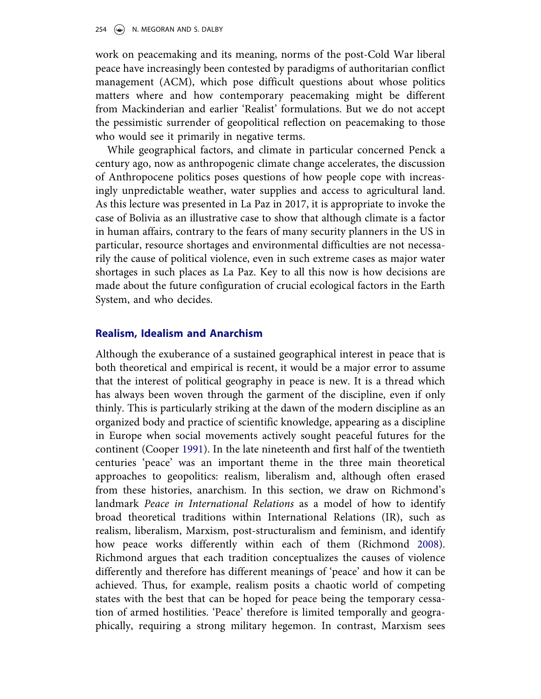#### 254  $\left(\rightarrow\right)$  N. MEGORAN AND S. DALBY

work on peacemaking and its meaning, norms of the post-Cold War liberal peace have increasingly been contested by paradigms of authoritarian conflict management (ACM), which pose difficult questions about whose politics matters where and how contemporary peacemaking might be different from Mackinderian and earlier 'Realist' formulations. But we do not accept the pessimistic surrender of geopolitical reflection on peacemaking to those who would see it primarily in negative terms.

While geographical factors, and climate in particular concerned Penck a century ago, now as anthropogenic climate change accelerates, the discussion of Anthropocene politics poses questions of how people cope with increasingly unpredictable weather, water supplies and access to agricultural land. As this lecture was presented in La Paz in 2017, it is appropriate to invoke the case of Bolivia as an illustrative case to show that although climate is a factor in human affairs, contrary to the fears of many security planners in the US in particular, resource shortages and environmental difficulties are not necessarily the cause of political violence, even in such extreme cases as major water shortages in such places as La Paz. Key to all this now is how decisions are made about the future configuration of crucial ecological factors in the Earth System, and who decides.

# Realism, Idealism and Anarchism

Although the exuberance of a sustained geographical interest in peace that is both theoretical and empirical is recent, it would be a major error to assume that the interest of political geography in peace is new. It is a thread which has always been woven through the garment of the discipline, even if only thinly. This is particularly striking at the dawn of the modern discipline as an organized body and practice of scientific knowledge, appearing as a discipline in Europe when social movements actively sought peaceful futures for the continent (Cooper 1991). In the late nineteenth and first half of the twentieth centuries 'peace' was an important theme in the three main theoretical approaches to geopolitics: realism, liberalism and, although often erased from these histories, anarchism. In this section, we draw on Richmond's landmark Peace in International Relations as a model of how to identify broad theoretical traditions within International Relations (IR), such as realism, liberalism, Marxism, post-structuralism and feminism, and identify how peace works differently within each of them (Richmond 2008). Richmond argues that each tradition conceptualizes the causes of violence differently and therefore has different meanings of 'peace' and how it can be achieved. Thus, for example, realism posits a chaotic world of competing states with the best that can be hoped for peace being the temporary cessation of armed hostilities. 'Peace' therefore is limited temporally and geographically, requiring a strong military hegemon. In contrast, Marxism sees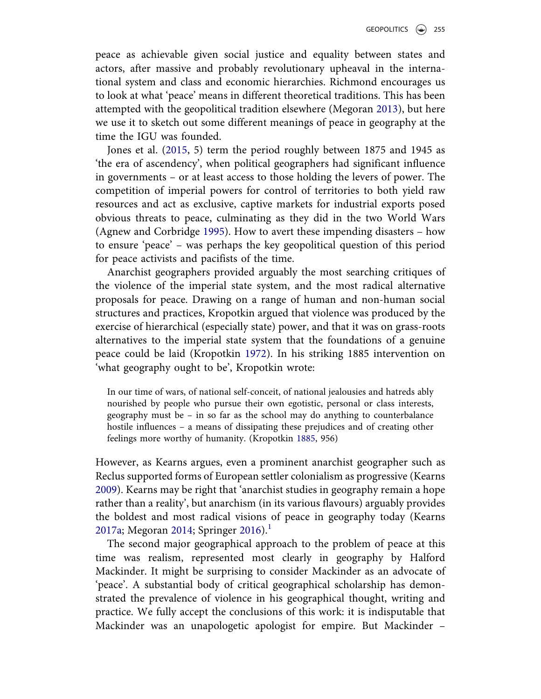peace as achievable given social justice and equality between states and actors, after massive and probably revolutionary upheaval in the international system and class and economic hierarchies. Richmond encourages us to look at what 'peace' means in different theoretical traditions. This has been attempted with the geopolitical tradition elsewhere (Megoran 2013), but here we use it to sketch out some different meanings of peace in geography at the time the IGU was founded.

Jones et al. (2015, 5) term the period roughly between 1875 and 1945 as 'the era of ascendency', when political geographers had significant influence in governments – or at least access to those holding the levers of power. The competition of imperial powers for control of territories to both yield raw resources and act as exclusive, captive markets for industrial exports posed obvious threats to peace, culminating as they did in the two World Wars (Agnew and Corbridge 1995). How to avert these impending disasters – how to ensure 'peace' – was perhaps the key geopolitical question of this period for peace activists and pacifists of the time.

Anarchist geographers provided arguably the most searching critiques of the violence of the imperial state system, and the most radical alternative proposals for peace. Drawing on a range of human and non-human social structures and practices, Kropotkin argued that violence was produced by the exercise of hierarchical (especially state) power, and that it was on grass-roots alternatives to the imperial state system that the foundations of a genuine peace could be laid (Kropotkin 1972). In his striking 1885 intervention on 'what geography ought to be', Kropotkin wrote:

In our time of wars, of national self-conceit, of national jealousies and hatreds ably nourished by people who pursue their own egotistic, personal or class interests, geography must be – in so far as the school may do anything to counterbalance hostile influences – a means of dissipating these prejudices and of creating other feelings more worthy of humanity. (Kropotkin 1885, 956)

However, as Kearns argues, even a prominent anarchist geographer such as Reclus supported forms of European settler colonialism as progressive (Kearns 2009). Kearns may be right that 'anarchist studies in geography remain a hope rather than a reality', but anarchism (in its various flavours) arguably provides the boldest and most radical visions of peace in geography today (Kearns 2017a; Megoran 2014; Springer 2016).<sup>1</sup>

The second major geographical approach to the problem of peace at this time was realism, represented most clearly in geography by Halford Mackinder. It might be surprising to consider Mackinder as an advocate of 'peace'. A substantial body of critical geographical scholarship has demonstrated the prevalence of violence in his geographical thought, writing and practice. We fully accept the conclusions of this work: it is indisputable that Mackinder was an unapologetic apologist for empire. But Mackinder –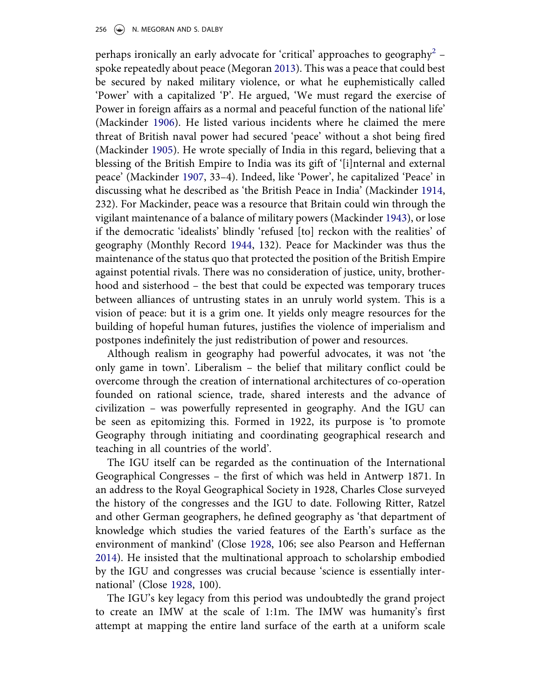#### 256  $\left(\bigcirc\right)$  N. MEGORAN AND S. DALBY

perhaps ironically an early advocate for 'critical' approaches to geography<sup>2</sup> – spoke repeatedly about peace (Megoran 2013). This was a peace that could best be secured by naked military violence, or what he euphemistically called 'Power' with a capitalized 'P'. He argued, 'We must regard the exercise of Power in foreign affairs as a normal and peaceful function of the national life' (Mackinder 1906). He listed various incidents where he claimed the mere threat of British naval power had secured 'peace' without a shot being fired (Mackinder 1905). He wrote specially of India in this regard, believing that a blessing of the British Empire to India was its gift of '[i]nternal and external peace' (Mackinder 1907, 33–4). Indeed, like 'Power', he capitalized 'Peace' in discussing what he described as 'the British Peace in India' (Mackinder 1914, 232). For Mackinder, peace was a resource that Britain could win through the vigilant maintenance of a balance of military powers (Mackinder 1943), or lose if the democratic 'idealists' blindly 'refused [to] reckon with the realities' of geography (Monthly Record 1944, 132). Peace for Mackinder was thus the maintenance of the status quo that protected the position of the British Empire against potential rivals. There was no consideration of justice, unity, brotherhood and sisterhood – the best that could be expected was temporary truces between alliances of untrusting states in an unruly world system. This is a vision of peace: but it is a grim one. It yields only meagre resources for the building of hopeful human futures, justifies the violence of imperialism and postpones indefinitely the just redistribution of power and resources.

Although realism in geography had powerful advocates, it was not 'the only game in town'. Liberalism – the belief that military conflict could be overcome through the creation of international architectures of co-operation founded on rational science, trade, shared interests and the advance of civilization – was powerfully represented in geography. And the IGU can be seen as epitomizing this. Formed in 1922, its purpose is 'to promote Geography through initiating and coordinating geographical research and teaching in all countries of the world'.

The IGU itself can be regarded as the continuation of the International Geographical Congresses – the first of which was held in Antwerp 1871. In an address to the Royal Geographical Society in 1928, Charles Close surveyed the history of the congresses and the IGU to date. Following Ritter, Ratzel and other German geographers, he defined geography as 'that department of knowledge which studies the varied features of the Earth's surface as the environment of mankind' (Close 1928, 106; see also Pearson and Heffernan 2014). He insisted that the multinational approach to scholarship embodied by the IGU and congresses was crucial because 'science is essentially international' (Close 1928, 100).

The IGU's key legacy from this period was undoubtedly the grand project to create an IMW at the scale of 1:1m. The IMW was humanity's first attempt at mapping the entire land surface of the earth at a uniform scale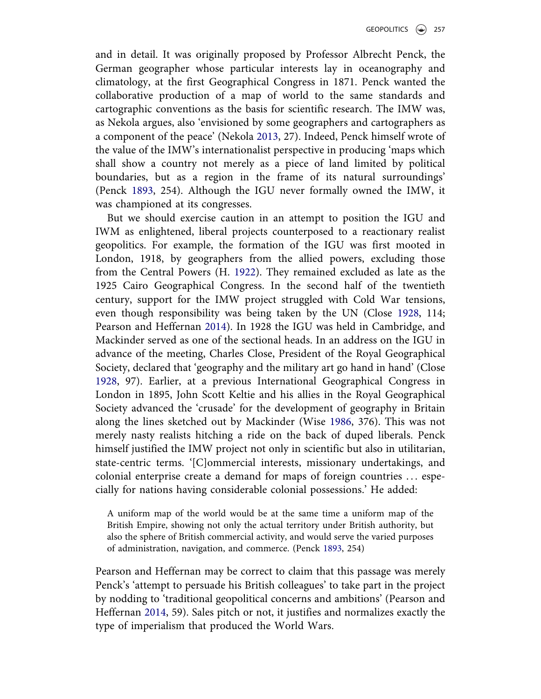and in detail. It was originally proposed by Professor Albrecht Penck, the German geographer whose particular interests lay in oceanography and climatology, at the first Geographical Congress in 1871. Penck wanted the collaborative production of a map of world to the same standards and cartographic conventions as the basis for scientific research. The IMW was, as Nekola argues, also 'envisioned by some geographers and cartographers as a component of the peace' (Nekola 2013, 27). Indeed, Penck himself wrote of the value of the IMW's internationalist perspective in producing 'maps which shall show a country not merely as a piece of land limited by political boundaries, but as a region in the frame of its natural surroundings' (Penck 1893, 254). Although the IGU never formally owned the IMW, it was championed at its congresses.

But we should exercise caution in an attempt to position the IGU and IWM as enlightened, liberal projects counterposed to a reactionary realist geopolitics. For example, the formation of the IGU was first mooted in London, 1918, by geographers from the allied powers, excluding those from the Central Powers (H. 1922). They remained excluded as late as the 1925 Cairo Geographical Congress. In the second half of the twentieth century, support for the IMW project struggled with Cold War tensions, even though responsibility was being taken by the UN (Close 1928, 114; Pearson and Heffernan 2014). In 1928 the IGU was held in Cambridge, and Mackinder served as one of the sectional heads. In an address on the IGU in advance of the meeting, Charles Close, President of the Royal Geographical Society, declared that 'geography and the military art go hand in hand' (Close 1928, 97). Earlier, at a previous International Geographical Congress in London in 1895, John Scott Keltie and his allies in the Royal Geographical Society advanced the 'crusade' for the development of geography in Britain along the lines sketched out by Mackinder (Wise 1986, 376). This was not merely nasty realists hitching a ride on the back of duped liberals. Penck himself justified the IMW project not only in scientific but also in utilitarian, state-centric terms. '[C]ommercial interests, missionary undertakings, and colonial enterprise create a demand for maps of foreign countries . . . especially for nations having considerable colonial possessions.' He added:

A uniform map of the world would be at the same time a uniform map of the British Empire, showing not only the actual territory under British authority, but also the sphere of British commercial activity, and would serve the varied purposes of administration, navigation, and commerce. (Penck 1893, 254)

Pearson and Heffernan may be correct to claim that this passage was merely Penck's 'attempt to persuade his British colleagues' to take part in the project by nodding to 'traditional geopolitical concerns and ambitions' (Pearson and Heffernan 2014, 59). Sales pitch or not, it justifies and normalizes exactly the type of imperialism that produced the World Wars.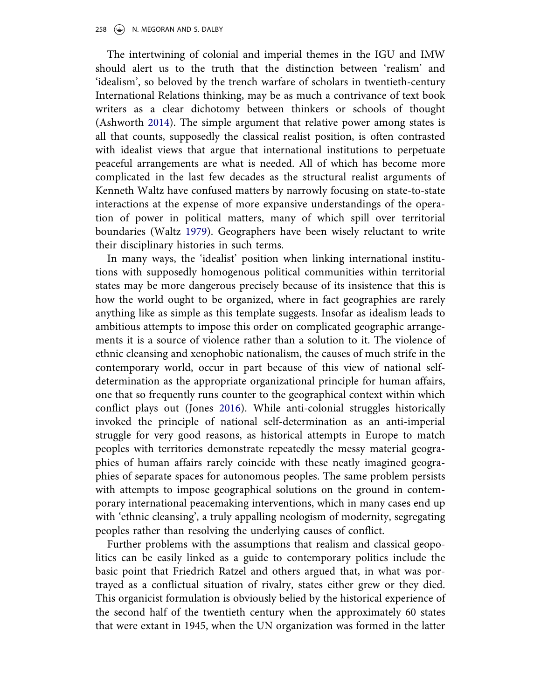#### 258  $\left(\rightarrow\right)$  N. MEGORAN AND S. DALBY

The intertwining of colonial and imperial themes in the IGU and IMW should alert us to the truth that the distinction between 'realism' and 'idealism', so beloved by the trench warfare of scholars in twentieth-century International Relations thinking, may be as much a contrivance of text book writers as a clear dichotomy between thinkers or schools of thought (Ashworth 2014). The simple argument that relative power among states is all that counts, supposedly the classical realist position, is often contrasted with idealist views that argue that international institutions to perpetuate peaceful arrangements are what is needed. All of which has become more complicated in the last few decades as the structural realist arguments of Kenneth Waltz have confused matters by narrowly focusing on state-to-state interactions at the expense of more expansive understandings of the operation of power in political matters, many of which spill over territorial boundaries (Waltz 1979). Geographers have been wisely reluctant to write their disciplinary histories in such terms.

In many ways, the 'idealist' position when linking international institutions with supposedly homogenous political communities within territorial states may be more dangerous precisely because of its insistence that this is how the world ought to be organized, where in fact geographies are rarely anything like as simple as this template suggests. Insofar as idealism leads to ambitious attempts to impose this order on complicated geographic arrangements it is a source of violence rather than a solution to it. The violence of ethnic cleansing and xenophobic nationalism, the causes of much strife in the contemporary world, occur in part because of this view of national selfdetermination as the appropriate organizational principle for human affairs, one that so frequently runs counter to the geographical context within which conflict plays out (Jones 2016). While anti-colonial struggles historically invoked the principle of national self-determination as an anti-imperial struggle for very good reasons, as historical attempts in Europe to match peoples with territories demonstrate repeatedly the messy material geographies of human affairs rarely coincide with these neatly imagined geographies of separate spaces for autonomous peoples. The same problem persists with attempts to impose geographical solutions on the ground in contemporary international peacemaking interventions, which in many cases end up with 'ethnic cleansing', a truly appalling neologism of modernity, segregating peoples rather than resolving the underlying causes of conflict.

Further problems with the assumptions that realism and classical geopolitics can be easily linked as a guide to contemporary politics include the basic point that Friedrich Ratzel and others argued that, in what was portrayed as a conflictual situation of rivalry, states either grew or they died. This organicist formulation is obviously belied by the historical experience of the second half of the twentieth century when the approximately 60 states that were extant in 1945, when the UN organization was formed in the latter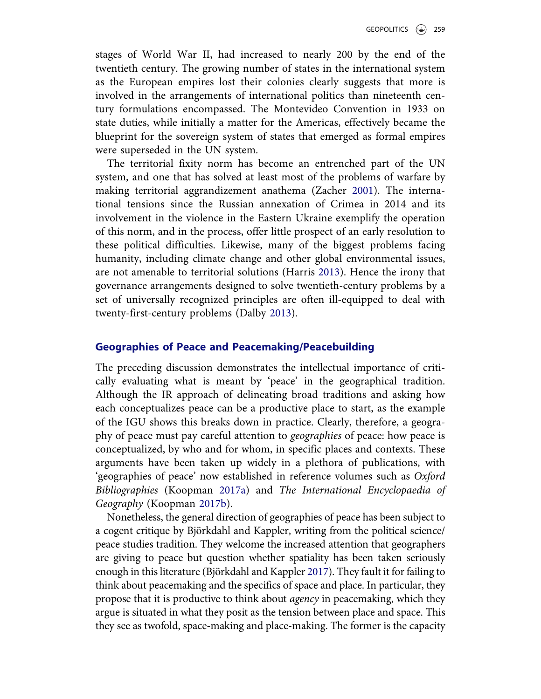stages of World War II, had increased to nearly 200 by the end of the twentieth century. The growing number of states in the international system as the European empires lost their colonies clearly suggests that more is involved in the arrangements of international politics than nineteenth century formulations encompassed. The Montevideo Convention in 1933 on state duties, while initially a matter for the Americas, effectively became the blueprint for the sovereign system of states that emerged as formal empires were superseded in the UN system.

The territorial fixity norm has become an entrenched part of the UN system, and one that has solved at least most of the problems of warfare by making territorial aggrandizement anathema (Zacher 2001). The international tensions since the Russian annexation of Crimea in 2014 and its involvement in the violence in the Eastern Ukraine exemplify the operation of this norm, and in the process, offer little prospect of an early resolution to these political difficulties. Likewise, many of the biggest problems facing humanity, including climate change and other global environmental issues, are not amenable to territorial solutions (Harris 2013). Hence the irony that governance arrangements designed to solve twentieth-century problems by a set of universally recognized principles are often ill-equipped to deal with twenty-first-century problems (Dalby 2013).

# Geographies of Peace and Peacemaking/Peacebuilding

The preceding discussion demonstrates the intellectual importance of critically evaluating what is meant by 'peace' in the geographical tradition. Although the IR approach of delineating broad traditions and asking how each conceptualizes peace can be a productive place to start, as the example of the IGU shows this breaks down in practice. Clearly, therefore, a geography of peace must pay careful attention to geographies of peace: how peace is conceptualized, by who and for whom, in specific places and contexts. These arguments have been taken up widely in a plethora of publications, with 'geographies of peace' now established in reference volumes such as Oxford Bibliographies (Koopman 2017a) and The International Encyclopaedia of Geography (Koopman 2017b).

Nonetheless, the general direction of geographies of peace has been subject to a cogent critique by Bjӧrkdahl and Kappler, writing from the political science/ peace studies tradition. They welcome the increased attention that geographers are giving to peace but question whether spatiality has been taken seriously enough in this literature (Bjӧrkdahl and Kappler 2017). They fault it for failing to think about peacemaking and the specifics of space and place. In particular, they propose that it is productive to think about agency in peacemaking, which they argue is situated in what they posit as the tension between place and space. This they see as twofold, space-making and place-making. The former is the capacity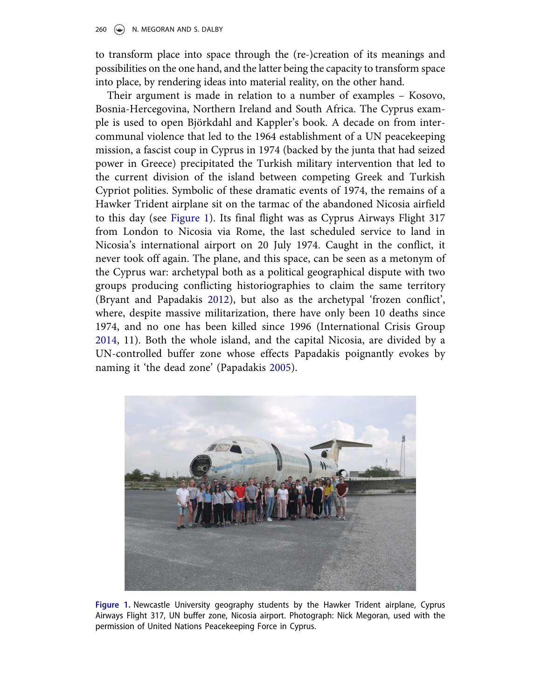#### 260  $\left(\bigoplus\right)$  N. MEGORAN AND S. DALBY

to transform place into space through the (re-)creation of its meanings and possibilities on the one hand, and the latter being the capacity to transform space into place, by rendering ideas into material reality, on the other hand.

Their argument is made in relation to a number of examples – Kosovo, Bosnia-Hercegovina, Northern Ireland and South Africa. The Cyprus example is used to open Björkdahl and Kappler's book. A decade on from intercommunal violence that led to the 1964 establishment of a UN peacekeeping mission, a fascist coup in Cyprus in 1974 (backed by the junta that had seized power in Greece) precipitated the Turkish military intervention that led to the current division of the island between competing Greek and Turkish Cypriot polities. Symbolic of these dramatic events of 1974, the remains of a Hawker Trident airplane sit on the tarmac of the abandoned Nicosia airfield to this day (see Figure 1). Its final flight was as Cyprus Airways Flight 317 from London to Nicosia via Rome, the last scheduled service to land in Nicosia's international airport on 20 July 1974. Caught in the conflict, it never took off again. The plane, and this space, can be seen as a metonym of the Cyprus war: archetypal both as a political geographical dispute with two groups producing conflicting historiographies to claim the same territory (Bryant and Papadakis 2012), but also as the archetypal 'frozen conflict', where, despite massive militarization, there have only been 10 deaths since 1974, and no one has been killed since 1996 (International Crisis Group 2014, 11). Both the whole island, and the capital Nicosia, are divided by a UN-controlled buffer zone whose effects Papadakis poignantly evokes by naming it 'the dead zone' (Papadakis 2005).



Figure 1. Newcastle University geography students by the Hawker Trident airplane, Cyprus Airways Flight 317, UN buffer zone, Nicosia airport. Photograph: Nick Megoran, used with the permission of United Nations Peacekeeping Force in Cyprus.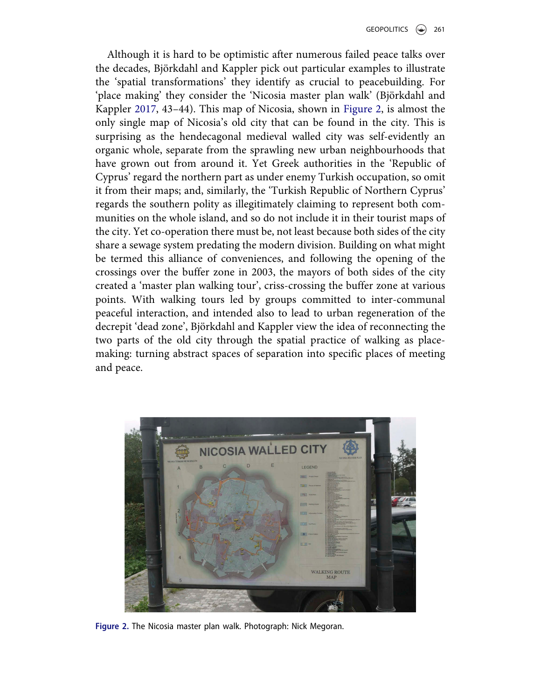Although it is hard to be optimistic after numerous failed peace talks over the decades, Bjӧrkdahl and Kappler pick out particular examples to illustrate the 'spatial transformations' they identify as crucial to peacebuilding. For 'place making' they consider the 'Nicosia master plan walk' (Bjӧrkdahl and Kappler 2017, 43–44). This map of Nicosia, shown in Figure 2, is almost the only single map of Nicosia's old city that can be found in the city. This is surprising as the hendecagonal medieval walled city was self-evidently an organic whole, separate from the sprawling new urban neighbourhoods that have grown out from around it. Yet Greek authorities in the 'Republic of Cyprus' regard the northern part as under enemy Turkish occupation, so omit it from their maps; and, similarly, the 'Turkish Republic of Northern Cyprus' regards the southern polity as illegitimately claiming to represent both communities on the whole island, and so do not include it in their tourist maps of the city. Yet co-operation there must be, not least because both sides of the city share a sewage system predating the modern division. Building on what might be termed this alliance of conveniences, and following the opening of the crossings over the buffer zone in 2003, the mayors of both sides of the city created a 'master plan walking tour', criss-crossing the buffer zone at various points. With walking tours led by groups committed to inter-communal peaceful interaction, and intended also to lead to urban regeneration of the decrepit 'dead zone', Bjӧrkdahl and Kappler view the idea of reconnecting the two parts of the old city through the spatial practice of walking as placemaking: turning abstract spaces of separation into specific places of meeting and peace.



Figure 2. The Nicosia master plan walk. Photograph: Nick Megoran.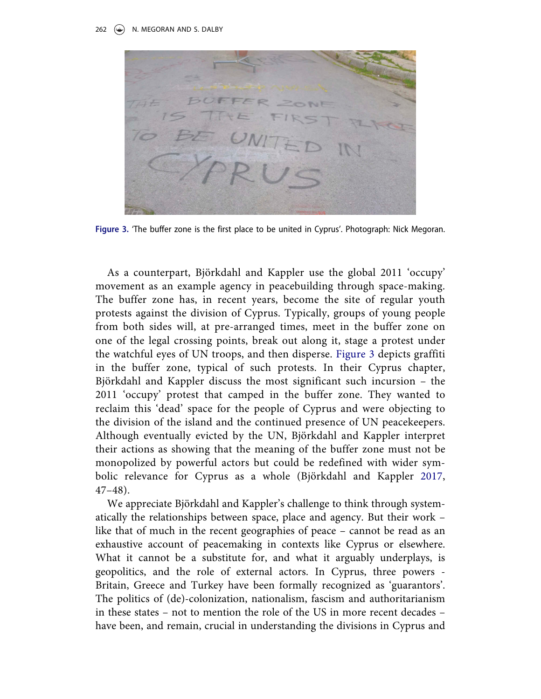Figure 3. 'The buffer zone is the first place to be united in Cyprus'. Photograph: Nick Megoran.

As a counterpart, Bjӧrkdahl and Kappler use the global 2011 'occupy' movement as an example agency in peacebuilding through space-making. The buffer zone has, in recent years, become the site of regular youth protests against the division of Cyprus. Typically, groups of young people from both sides will, at pre-arranged times, meet in the buffer zone on one of the legal crossing points, break out along it, stage a protest under the watchful eyes of UN troops, and then disperse. Figure 3 depicts graffiti in the buffer zone, typical of such protests. In their Cyprus chapter, Bjӧrkdahl and Kappler discuss the most significant such incursion – the 2011 'occupy' protest that camped in the buffer zone. They wanted to reclaim this 'dead' space for the people of Cyprus and were objecting to the division of the island and the continued presence of UN peacekeepers. Although eventually evicted by the UN, Bjӧrkdahl and Kappler interpret their actions as showing that the meaning of the buffer zone must not be monopolized by powerful actors but could be redefined with wider symbolic relevance for Cyprus as a whole (Bjӧrkdahl and Kappler 2017, 47–48).

We appreciate Bjӧrkdahl and Kappler's challenge to think through systematically the relationships between space, place and agency. But their work – like that of much in the recent geographies of peace – cannot be read as an exhaustive account of peacemaking in contexts like Cyprus or elsewhere. What it cannot be a substitute for, and what it arguably underplays, is geopolitics, and the role of external actors. In Cyprus, three powers - Britain, Greece and Turkey have been formally recognized as 'guarantors'. The politics of (de)-colonization, nationalism, fascism and authoritarianism in these states – not to mention the role of the US in more recent decades – have been, and remain, crucial in understanding the divisions in Cyprus and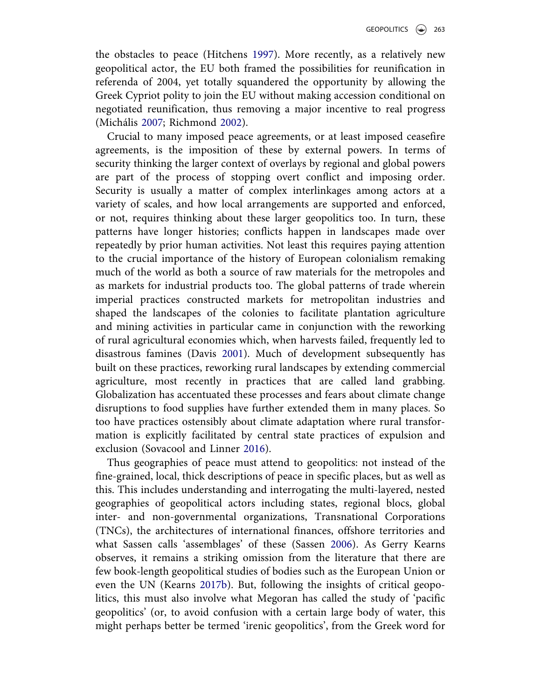the obstacles to peace (Hitchens 1997). More recently, as a relatively new geopolitical actor, the EU both framed the possibilities for reunification in referenda of 2004, yet totally squandered the opportunity by allowing the Greek Cypriot polity to join the EU without making accession conditional on negotiated reunification, thus removing a major incentive to real progress (Michális 2007; Richmond 2002).

Crucial to many imposed peace agreements, or at least imposed ceasefire agreements, is the imposition of these by external powers. In terms of security thinking the larger context of overlays by regional and global powers are part of the process of stopping overt conflict and imposing order. Security is usually a matter of complex interlinkages among actors at a variety of scales, and how local arrangements are supported and enforced, or not, requires thinking about these larger geopolitics too. In turn, these patterns have longer histories; conflicts happen in landscapes made over repeatedly by prior human activities. Not least this requires paying attention to the crucial importance of the history of European colonialism remaking much of the world as both a source of raw materials for the metropoles and as markets for industrial products too. The global patterns of trade wherein imperial practices constructed markets for metropolitan industries and shaped the landscapes of the colonies to facilitate plantation agriculture and mining activities in particular came in conjunction with the reworking of rural agricultural economies which, when harvests failed, frequently led to disastrous famines (Davis 2001). Much of development subsequently has built on these practices, reworking rural landscapes by extending commercial agriculture, most recently in practices that are called land grabbing. Globalization has accentuated these processes and fears about climate change disruptions to food supplies have further extended them in many places. So too have practices ostensibly about climate adaptation where rural transformation is explicitly facilitated by central state practices of expulsion and exclusion (Sovacool and Linner 2016).

Thus geographies of peace must attend to geopolitics: not instead of the fine-grained, local, thick descriptions of peace in specific places, but as well as this. This includes understanding and interrogating the multi-layered, nested geographies of geopolitical actors including states, regional blocs, global inter- and non-governmental organizations, Transnational Corporations (TNCs), the architectures of international finances, offshore territories and what Sassen calls 'assemblages' of these (Sassen 2006). As Gerry Kearns observes, it remains a striking omission from the literature that there are few book-length geopolitical studies of bodies such as the European Union or even the UN (Kearns 2017b). But, following the insights of critical geopolitics, this must also involve what Megoran has called the study of 'pacific geopolitics' (or, to avoid confusion with a certain large body of water, this might perhaps better be termed 'irenic geopolitics', from the Greek word for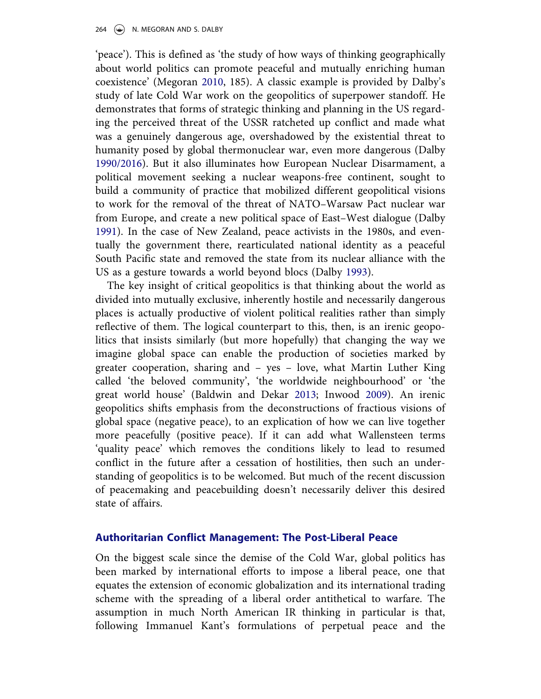#### 264  $\leftrightarrow$  N. MEGORAN AND S. DALBY

'peace'). This is defined as 'the study of how ways of thinking geographically about world politics can promote peaceful and mutually enriching human coexistence' (Megoran 2010, 185). A classic example is provided by Dalby's study of late Cold War work on the geopolitics of superpower standoff. He demonstrates that forms of strategic thinking and planning in the US regarding the perceived threat of the USSR ratcheted up conflict and made what was a genuinely dangerous age, overshadowed by the existential threat to humanity posed by global thermonuclear war, even more dangerous (Dalby 1990/2016). But it also illuminates how European Nuclear Disarmament, a political movement seeking a nuclear weapons-free continent, sought to build a community of practice that mobilized different geopolitical visions to work for the removal of the threat of NATO–Warsaw Pact nuclear war from Europe, and create a new political space of East–West dialogue (Dalby 1991). In the case of New Zealand, peace activists in the 1980s, and eventually the government there, rearticulated national identity as a peaceful South Pacific state and removed the state from its nuclear alliance with the US as a gesture towards a world beyond blocs (Dalby 1993).

The key insight of critical geopolitics is that thinking about the world as divided into mutually exclusive, inherently hostile and necessarily dangerous places is actually productive of violent political realities rather than simply reflective of them. The logical counterpart to this, then, is an irenic geopolitics that insists similarly (but more hopefully) that changing the way we imagine global space can enable the production of societies marked by greater cooperation, sharing and – yes – love, what Martin Luther King called 'the beloved community', 'the worldwide neighbourhood' or 'the great world house' (Baldwin and Dekar 2013; Inwood 2009). An irenic geopolitics shifts emphasis from the deconstructions of fractious visions of global space (negative peace), to an explication of how we can live together more peacefully (positive peace). If it can add what Wallensteen terms 'quality peace' which removes the conditions likely to lead to resumed conflict in the future after a cessation of hostilities, then such an understanding of geopolitics is to be welcomed. But much of the recent discussion of peacemaking and peacebuilding doesn't necessarily deliver this desired state of affairs.

# Authoritarian Conflict Management: The Post-Liberal Peace

On the biggest scale since the demise of the Cold War, global politics has been marked by international efforts to impose a liberal peace, one that equates the extension of economic globalization and its international trading scheme with the spreading of a liberal order antithetical to warfare. The assumption in much North American IR thinking in particular is that, following Immanuel Kant's formulations of perpetual peace and the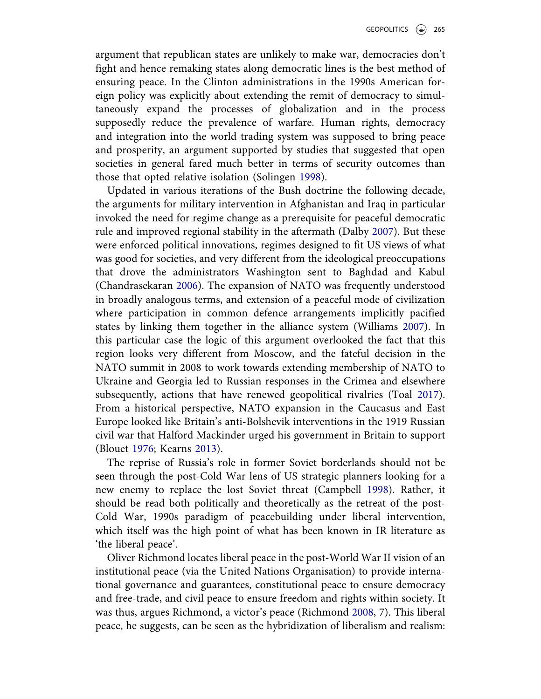argument that republican states are unlikely to make war, democracies don't fight and hence remaking states along democratic lines is the best method of ensuring peace. In the Clinton administrations in the 1990s American foreign policy was explicitly about extending the remit of democracy to simultaneously expand the processes of globalization and in the process supposedly reduce the prevalence of warfare. Human rights, democracy and integration into the world trading system was supposed to bring peace and prosperity, an argument supported by studies that suggested that open societies in general fared much better in terms of security outcomes than those that opted relative isolation (Solingen 1998).

Updated in various iterations of the Bush doctrine the following decade, the arguments for military intervention in Afghanistan and Iraq in particular invoked the need for regime change as a prerequisite for peaceful democratic rule and improved regional stability in the aftermath (Dalby 2007). But these were enforced political innovations, regimes designed to fit US views of what was good for societies, and very different from the ideological preoccupations that drove the administrators Washington sent to Baghdad and Kabul (Chandrasekaran 2006). The expansion of NATO was frequently understood in broadly analogous terms, and extension of a peaceful mode of civilization where participation in common defence arrangements implicitly pacified states by linking them together in the alliance system (Williams 2007). In this particular case the logic of this argument overlooked the fact that this region looks very different from Moscow, and the fateful decision in the NATO summit in 2008 to work towards extending membership of NATO to Ukraine and Georgia led to Russian responses in the Crimea and elsewhere subsequently, actions that have renewed geopolitical rivalries (Toal 2017). From a historical perspective, NATO expansion in the Caucasus and East Europe looked like Britain's anti-Bolshevik interventions in the 1919 Russian civil war that Halford Mackinder urged his government in Britain to support (Blouet 1976; Kearns 2013).

The reprise of Russia's role in former Soviet borderlands should not be seen through the post-Cold War lens of US strategic planners looking for a new enemy to replace the lost Soviet threat (Campbell 1998). Rather, it should be read both politically and theoretically as the retreat of the post-Cold War, 1990s paradigm of peacebuilding under liberal intervention, which itself was the high point of what has been known in IR literature as 'the liberal peace'.

Oliver Richmond locates liberal peace in the post-World War II vision of an institutional peace (via the United Nations Organisation) to provide international governance and guarantees, constitutional peace to ensure democracy and free-trade, and civil peace to ensure freedom and rights within society. It was thus, argues Richmond, a victor's peace (Richmond 2008, 7). This liberal peace, he suggests, can be seen as the hybridization of liberalism and realism: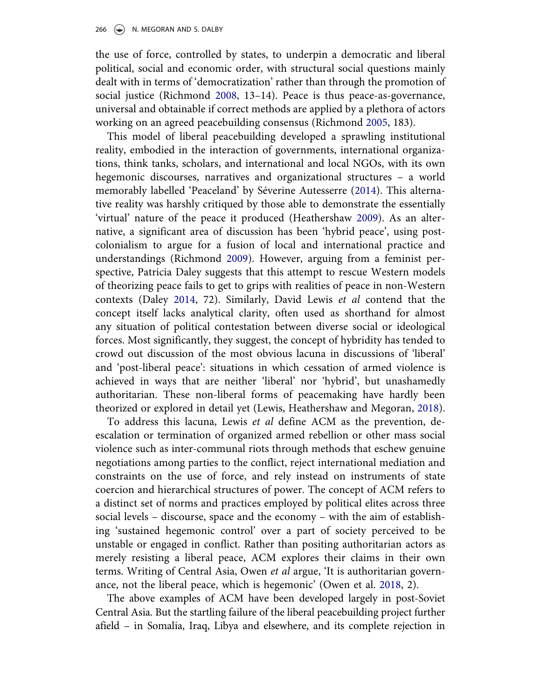#### 266  $\left(\bigcirc\right)$  N. MEGORAN AND S. DALBY

the use of force, controlled by states, to underpin a democratic and liberal political, social and economic order, with structural social questions mainly dealt with in terms of 'democratization' rather than through the promotion of social justice (Richmond 2008, 13–14). Peace is thus peace-as-governance, universal and obtainable if correct methods are applied by a plethora of actors working on an agreed peacebuilding consensus (Richmond 2005, 183).

This model of liberal peacebuilding developed a sprawling institutional reality, embodied in the interaction of governments, international organizations, think tanks, scholars, and international and local NGOs, with its own hegemonic discourses, narratives and organizational structures – a world memorably labelled 'Peaceland' by Séverine Autesserre (2014). This alternative reality was harshly critiqued by those able to demonstrate the essentially 'virtual' nature of the peace it produced (Heathershaw 2009). As an alternative, a significant area of discussion has been 'hybrid peace', using postcolonialism to argue for a fusion of local and international practice and understandings (Richmond 2009). However, arguing from a feminist perspective, Patricia Daley suggests that this attempt to rescue Western models of theorizing peace fails to get to grips with realities of peace in non-Western contexts (Daley 2014, 72). Similarly, David Lewis et al contend that the concept itself lacks analytical clarity, often used as shorthand for almost any situation of political contestation between diverse social or ideological forces. Most significantly, they suggest, the concept of hybridity has tended to crowd out discussion of the most obvious lacuna in discussions of 'liberal' and 'post-liberal peace': situations in which cessation of armed violence is achieved in ways that are neither 'liberal' nor 'hybrid', but unashamedly authoritarian. These non-liberal forms of peacemaking have hardly been theorized or explored in detail yet (Lewis, Heathershaw and Megoran, 2018).

To address this lacuna, Lewis et al define ACM as the prevention, deescalation or termination of organized armed rebellion or other mass social violence such as inter-communal riots through methods that eschew genuine negotiations among parties to the conflict, reject international mediation and constraints on the use of force, and rely instead on instruments of state coercion and hierarchical structures of power. The concept of ACM refers to a distinct set of norms and practices employed by political elites across three social levels – discourse, space and the economy – with the aim of establishing 'sustained hegemonic control' over a part of society perceived to be unstable or engaged in conflict. Rather than positing authoritarian actors as merely resisting a liberal peace, ACM explores their claims in their own terms. Writing of Central Asia, Owen et al argue, 'It is authoritarian governance, not the liberal peace, which is hegemonic' (Owen et al. 2018, 2).

The above examples of ACM have been developed largely in post-Soviet Central Asia. But the startling failure of the liberal peacebuilding project further afield – in Somalia, Iraq, Libya and elsewhere, and its complete rejection in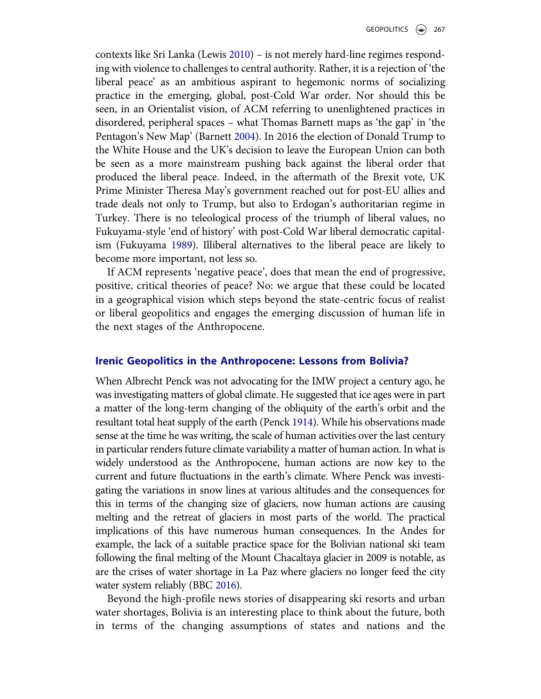contexts like Sri Lanka (Lewis 2010) – is not merely hard-line regimes responding with violence to challenges to central authority. Rather, it is a rejection of 'the liberal peace' as an ambitious aspirant to hegemonic norms of socializing practice in the emerging, global, post-Cold War order. Nor should this be seen, in an Orientalist vision, of ACM referring to unenlightened practices in disordered, peripheral spaces – what Thomas Barnett maps as 'the gap' in 'the Pentagon's New Map' (Barnett 2004). In 2016 the election of Donald Trump to the White House and the UK's decision to leave the European Union can both be seen as a more mainstream pushing back against the liberal order that produced the liberal peace. Indeed, in the aftermath of the Brexit vote, UK Prime Minister Theresa May's government reached out for post-EU allies and trade deals not only to Trump, but also to Erdogan's authoritarian regime in Turkey. There is no teleological process of the triumph of liberal values, no Fukuyama-style 'end of history' with post-Cold War liberal democratic capitalism (Fukuyama 1989). Illiberal alternatives to the liberal peace are likely to become more important, not less so.

If ACM represents 'negative peace', does that mean the end of progressive, positive, critical theories of peace? No: we argue that these could be located in a geographical vision which steps beyond the state-centric focus of realist or liberal geopolitics and engages the emerging discussion of human life in the next stages of the Anthropocene.

# Irenic Geopolitics in the Anthropocene: Lessons from Bolivia?

When Albrecht Penck was not advocating for the IMW project a century ago, he was investigating matters of global climate. He suggested that ice ages were in part a matter of the long-term changing of the obliquity of the earth's orbit and the resultant total heat supply of the earth (Penck 1914). While his observations made sense at the time he was writing, the scale of human activities over the last century in particular renders future climate variability a matter of human action. In what is widely understood as the Anthropocene, human actions are now key to the current and future fluctuations in the earth's climate. Where Penck was investigating the variations in snow lines at various altitudes and the consequences for this in terms of the changing size of glaciers, now human actions are causing melting and the retreat of glaciers in most parts of the world. The practical implications of this have numerous human consequences. In the Andes for example, the lack of a suitable practice space for the Bolivian national ski team following the final melting of the Mount Chacaltaya glacier in 2009 is notable, as are the crises of water shortage in La Paz where glaciers no longer feed the city water system reliably (BBC 2016).

Beyond the high-profile news stories of disappearing ski resorts and urban water shortages, Bolivia is an interesting place to think about the future, both in terms of the changing assumptions of states and nations and the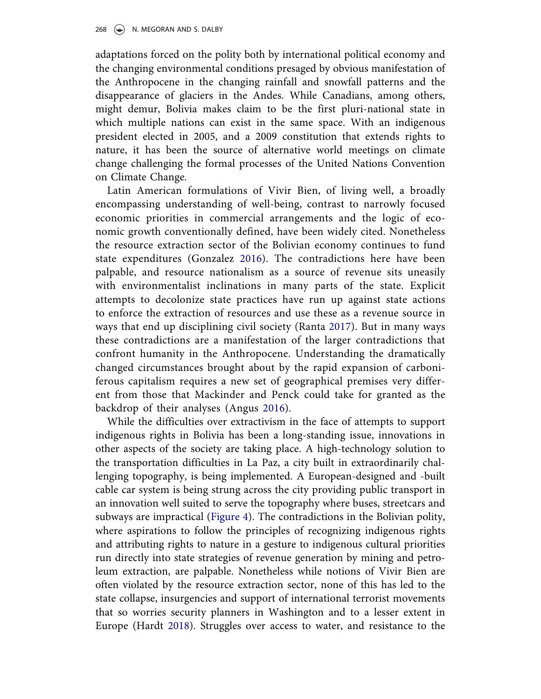adaptations forced on the polity both by international political economy and the changing environmental conditions presaged by obvious manifestation of the Anthropocene in the changing rainfall and snowfall patterns and the disappearance of glaciers in the Andes. While Canadians, among others, might demur, Bolivia makes claim to be the first pluri-national state in which multiple nations can exist in the same space. With an indigenous president elected in 2005, and a 2009 constitution that extends rights to nature, it has been the source of alternative world meetings on climate change challenging the formal processes of the United Nations Convention on Climate Change.

Latin American formulations of Vivir Bien, of living well, a broadly encompassing understanding of well-being, contrast to narrowly focused economic priorities in commercial arrangements and the logic of economic growth conventionally defined, have been widely cited. Nonetheless the resource extraction sector of the Bolivian economy continues to fund state expenditures (Gonzalez 2016). The contradictions here have been palpable, and resource nationalism as a source of revenue sits uneasily with environmentalist inclinations in many parts of the state. Explicit attempts to decolonize state practices have run up against state actions to enforce the extraction of resources and use these as a revenue source in ways that end up disciplining civil society (Ranta 2017). But in many ways these contradictions are a manifestation of the larger contradictions that confront humanity in the Anthropocene. Understanding the dramatically changed circumstances brought about by the rapid expansion of carboniferous capitalism requires a new set of geographical premises very different from those that Mackinder and Penck could take for granted as the backdrop of their analyses (Angus 2016).

While the difficulties over extractivism in the face of attempts to support indigenous rights in Bolivia has been a long-standing issue, innovations in other aspects of the society are taking place. A high-technology solution to the transportation difficulties in La Paz, a city built in extraordinarily challenging topography, is being implemented. A European-designed and -built cable car system is being strung across the city providing public transport in an innovation well suited to serve the topography where buses, streetcars and subways are impractical (Figure 4). The contradictions in the Bolivian polity, where aspirations to follow the principles of recognizing indigenous rights and attributing rights to nature in a gesture to indigenous cultural priorities run directly into state strategies of revenue generation by mining and petroleum extraction, are palpable. Nonetheless while notions of Vivir Bien are often violated by the resource extraction sector, none of this has led to the state collapse, insurgencies and support of international terrorist movements that so worries security planners in Washington and to a lesser extent in Europe (Hardt 2018). Struggles over access to water, and resistance to the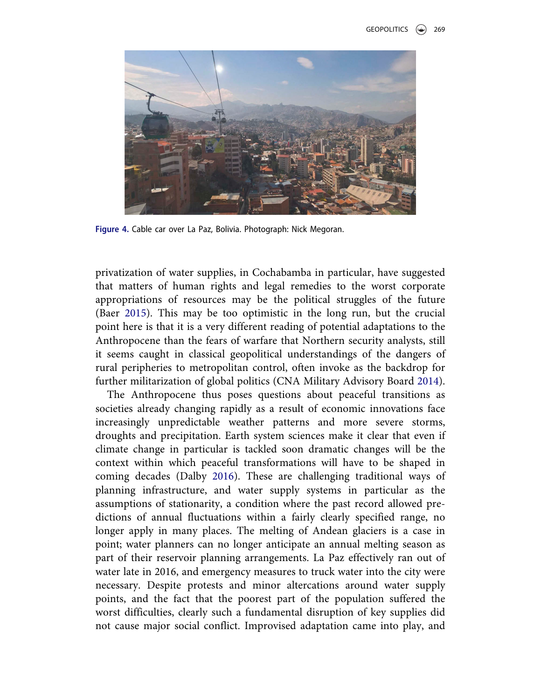

Figure 4. Cable car over La Paz, Bolivia. Photograph: Nick Megoran.

privatization of water supplies, in Cochabamba in particular, have suggested that matters of human rights and legal remedies to the worst corporate appropriations of resources may be the political struggles of the future (Baer 2015). This may be too optimistic in the long run, but the crucial point here is that it is a very different reading of potential adaptations to the Anthropocene than the fears of warfare that Northern security analysts, still it seems caught in classical geopolitical understandings of the dangers of rural peripheries to metropolitan control, often invoke as the backdrop for further militarization of global politics (CNA Military Advisory Board 2014).

The Anthropocene thus poses questions about peaceful transitions as societies already changing rapidly as a result of economic innovations face increasingly unpredictable weather patterns and more severe storms, droughts and precipitation. Earth system sciences make it clear that even if climate change in particular is tackled soon dramatic changes will be the context within which peaceful transformations will have to be shaped in coming decades (Dalby 2016). These are challenging traditional ways of planning infrastructure, and water supply systems in particular as the assumptions of stationarity, a condition where the past record allowed predictions of annual fluctuations within a fairly clearly specified range, no longer apply in many places. The melting of Andean glaciers is a case in point; water planners can no longer anticipate an annual melting season as part of their reservoir planning arrangements. La Paz effectively ran out of water late in 2016, and emergency measures to truck water into the city were necessary. Despite protests and minor altercations around water supply points, and the fact that the poorest part of the population suffered the worst difficulties, clearly such a fundamental disruption of key supplies did not cause major social conflict. Improvised adaptation came into play, and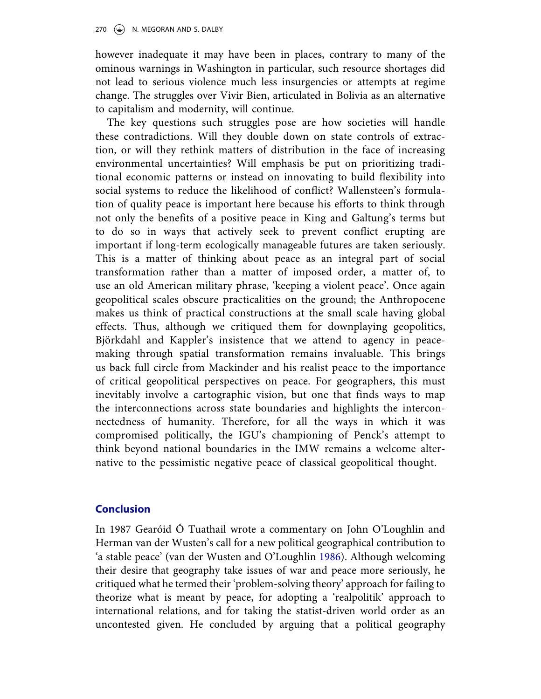however inadequate it may have been in places, contrary to many of the ominous warnings in Washington in particular, such resource shortages did not lead to serious violence much less insurgencies or attempts at regime change. The struggles over Vivir Bien, articulated in Bolivia as an alternative to capitalism and modernity, will continue.

The key questions such struggles pose are how societies will handle these contradictions. Will they double down on state controls of extraction, or will they rethink matters of distribution in the face of increasing environmental uncertainties? Will emphasis be put on prioritizing traditional economic patterns or instead on innovating to build flexibility into social systems to reduce the likelihood of conflict? Wallensteen's formulation of quality peace is important here because his efforts to think through not only the benefits of a positive peace in King and Galtung's terms but to do so in ways that actively seek to prevent conflict erupting are important if long-term ecologically manageable futures are taken seriously. This is a matter of thinking about peace as an integral part of social transformation rather than a matter of imposed order, a matter of, to use an old American military phrase, 'keeping a violent peace'. Once again geopolitical scales obscure practicalities on the ground; the Anthropocene makes us think of practical constructions at the small scale having global effects. Thus, although we critiqued them for downplaying geopolitics, Bjӧrkdahl and Kappler's insistence that we attend to agency in peacemaking through spatial transformation remains invaluable. This brings us back full circle from Mackinder and his realist peace to the importance of critical geopolitical perspectives on peace. For geographers, this must inevitably involve a cartographic vision, but one that finds ways to map the interconnections across state boundaries and highlights the interconnectedness of humanity. Therefore, for all the ways in which it was compromised politically, the IGU's championing of Penck's attempt to think beyond national boundaries in the IMW remains a welcome alternative to the pessimistic negative peace of classical geopolitical thought.

# Conclusion

In 1987 Gearóid Ó Tuathail wrote a commentary on John O'Loughlin and Herman van der Wusten's call for a new political geographical contribution to 'a stable peace' (van der Wusten and O'Loughlin 1986). Although welcoming their desire that geography take issues of war and peace more seriously, he critiqued what he termed their 'problem-solving theory' approach for failing to theorize what is meant by peace, for adopting a 'realpolitik' approach to international relations, and for taking the statist-driven world order as an uncontested given. He concluded by arguing that a political geography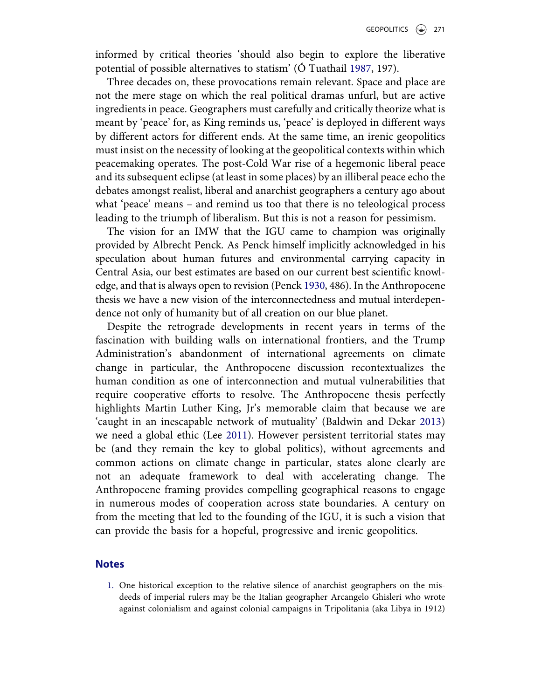informed by critical theories 'should also begin to explore the liberative potential of possible alternatives to statism' (Ó Tuathail 1987, 197).

Three decades on, these provocations remain relevant. Space and place are not the mere stage on which the real political dramas unfurl, but are active ingredients in peace. Geographers must carefully and critically theorize what is meant by 'peace' for, as King reminds us, 'peace' is deployed in different ways by different actors for different ends. At the same time, an irenic geopolitics must insist on the necessity of looking at the geopolitical contexts within which peacemaking operates. The post-Cold War rise of a hegemonic liberal peace and its subsequent eclipse (at least in some places) by an illiberal peace echo the debates amongst realist, liberal and anarchist geographers a century ago about what 'peace' means – and remind us too that there is no teleological process leading to the triumph of liberalism. But this is not a reason for pessimism.

The vision for an IMW that the IGU came to champion was originally provided by Albrecht Penck. As Penck himself implicitly acknowledged in his speculation about human futures and environmental carrying capacity in Central Asia, our best estimates are based on our current best scientific knowledge, and that is always open to revision (Penck 1930, 486). In the Anthropocene thesis we have a new vision of the interconnectedness and mutual interdependence not only of humanity but of all creation on our blue planet.

Despite the retrograde developments in recent years in terms of the fascination with building walls on international frontiers, and the Trump Administration's abandonment of international agreements on climate change in particular, the Anthropocene discussion recontextualizes the human condition as one of interconnection and mutual vulnerabilities that require cooperative efforts to resolve. The Anthropocene thesis perfectly highlights Martin Luther King, Jr's memorable claim that because we are 'caught in an inescapable network of mutuality' (Baldwin and Dekar 2013) we need a global ethic (Lee 2011). However persistent territorial states may be (and they remain the key to global politics), without agreements and common actions on climate change in particular, states alone clearly are not an adequate framework to deal with accelerating change. The Anthropocene framing provides compelling geographical reasons to engage in numerous modes of cooperation across state boundaries. A century on from the meeting that led to the founding of the IGU, it is such a vision that can provide the basis for a hopeful, progressive and irenic geopolitics.

# **Notes**

1. One historical exception to the relative silence of anarchist geographers on the misdeeds of imperial rulers may be the Italian geographer Arcangelo Ghisleri who wrote against colonialism and against colonial campaigns in Tripolitania (aka Libya in 1912)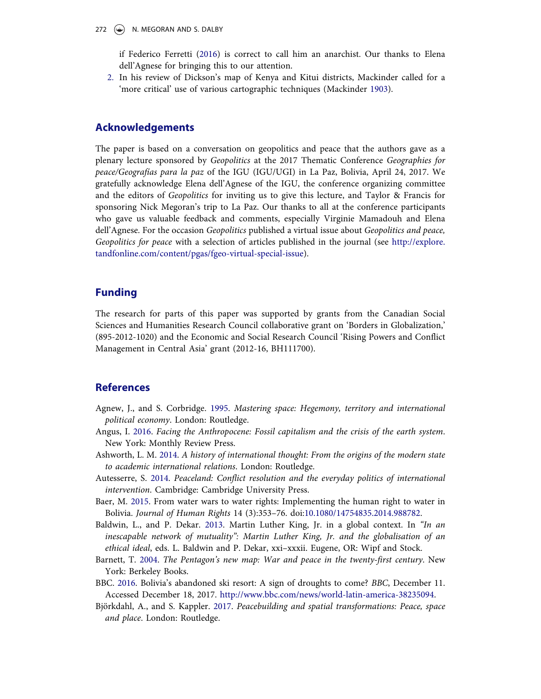#### 272 (C) N. MEGORAN AND S. DALBY

if Federico Ferretti (2016) is correct to call him an anarchist. Our thanks to Elena dell'Agnese for bringing this to our attention.

2. In his review of Dickson's map of Kenya and Kitui districts, Mackinder called for a 'more critical' use of various cartographic techniques (Mackinder 1903).

# Acknowledgements

The paper is based on a conversation on geopolitics and peace that the authors gave as a plenary lecture sponsored by Geopolitics at the 2017 Thematic Conference Geographies for peace/Geografías para la paz of the IGU (IGU/UGI) in La Paz, Bolivia, April 24, 2017. We gratefully acknowledge Elena dell'Agnese of the IGU, the conference organizing committee and the editors of Geopolitics for inviting us to give this lecture, and Taylor & Francis for sponsoring Nick Megoran's trip to La Paz. Our thanks to all at the conference participants who gave us valuable feedback and comments, especially Virginie Mamadouh and Elena dell'Agnese. For the occasion *Geopolitics* published a virtual issue about *Geopolitics and peace*, Geopolitics for peace with a selection of articles published in the journal (see http://explore. tandfonline.com/content/pgas/fgeo-virtual-special-issue).

# Funding

The research for parts of this paper was supported by grants from the Canadian Social Sciences and Humanities Research Council collaborative grant on 'Borders in Globalization,' (895-2012-1020) and the Economic and Social Research Council 'Rising Powers and Conflict Management in Central Asia' grant (2012-16, BH111700).

# **References**

- Agnew, J., and S. Corbridge. 1995. Mastering space: Hegemony, territory and international political economy. London: Routledge.
- Angus, I. 2016. Facing the Anthropocene: Fossil capitalism and the crisis of the earth system. New York: Monthly Review Press.
- Ashworth, L. M. 2014. A history of international thought: From the origins of the modern state to academic international relations. London: Routledge.
- Autesserre, S. 2014. Peaceland: Conflict resolution and the everyday politics of international intervention. Cambridge: Cambridge University Press.
- Baer, M. 2015. From water wars to water rights: Implementing the human right to water in Bolivia. Journal of Human Rights 14 (3):353–76. doi:10.1080/14754835.2014.988782.
- Baldwin, L., and P. Dekar. 2013. Martin Luther King, Jr. in a global context. In "In an inescapable network of mutuality": Martin Luther King, Jr. and the globalisation of an ethical ideal, eds. L. Baldwin and P. Dekar, xxi–xxxii. Eugene, OR: Wipf and Stock.
- Barnett, T. 2004. The Pentagon's new map: War and peace in the twenty-first century. New York: Berkeley Books.
- BBC. 2016. Bolivia's abandoned ski resort: A sign of droughts to come? BBC, December 11. Accessed December 18, 2017. http://www.bbc.com/news/world-latin-america-38235094.
- Bjӧrkdahl, A., and S. Kappler. 2017. Peacebuilding and spatial transformations: Peace, space and place. London: Routledge.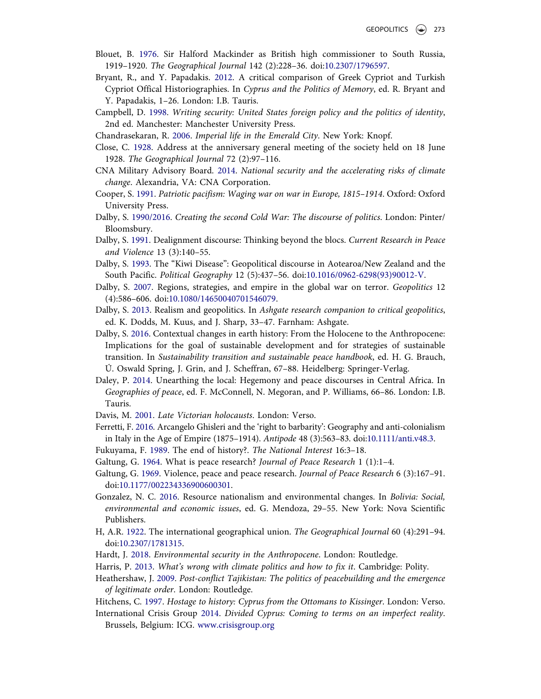- Blouet, B. 1976. Sir Halford Mackinder as British high commissioner to South Russia, 1919–1920. The Geographical Journal 142 (2):228–36. doi:10.2307/1796597.
- Bryant, R., and Y. Papadakis. 2012. A critical comparison of Greek Cypriot and Turkish Cypriot Offical Historiographies. In Cyprus and the Politics of Memory, ed. R. Bryant and Y. Papadakis, 1–26. London: I.B. Tauris.
- Campbell, D. 1998. Writing security: United States foreign policy and the politics of identity, 2nd ed. Manchester: Manchester University Press.
- Chandrasekaran, R. 2006. Imperial life in the Emerald City. New York: Knopf.
- Close, C. 1928. Address at the anniversary general meeting of the society held on 18 June 1928. The Geographical Journal 72 (2):97–116.
- CNA Military Advisory Board. 2014. National security and the accelerating risks of climate change. Alexandria, VA: CNA Corporation.
- Cooper, S. 1991. Patriotic pacifism: Waging war on war in Europe, 1815–1914. Oxford: Oxford University Press.
- Dalby, S. 1990/2016. Creating the second Cold War: The discourse of politics. London: Pinter/ Bloomsbury.
- Dalby, S. 1991. Dealignment discourse: Thinking beyond the blocs. Current Research in Peace and Violence 13 (3):140–55.
- Dalby, S. 1993. The "Kiwi Disease": Geopolitical discourse in Aotearoa/New Zealand and the South Pacific. Political Geography 12 (5):437–56. doi:10.1016/0962-6298(93)90012-V.
- Dalby, S. 2007. Regions, strategies, and empire in the global war on terror. Geopolitics 12 (4):586–606. doi:10.1080/14650040701546079.
- Dalby, S. 2013. Realism and geopolitics. In Ashgate research companion to critical geopolitics, ed. K. Dodds, M. Kuus, and J. Sharp, 33–47. Farnham: Ashgate.
- Dalby, S. 2016. Contextual changes in earth history: From the Holocene to the Anthropocene: Implications for the goal of sustainable development and for strategies of sustainable transition. In Sustainability transition and sustainable peace handbook, ed. H. G. Brauch, Ú. Oswald Spring, J. Grin, and J. Scheffran, 67–88. Heidelberg: Springer-Verlag.
- Daley, P. 2014. Unearthing the local: Hegemony and peace discourses in Central Africa. In Geographies of peace, ed. F. McConnell, N. Megoran, and P. Williams, 66–86. London: I.B. Tauris.
- Davis, M. 2001. Late Victorian holocausts. London: Verso.
- Ferretti, F. 2016. Arcangelo Ghisleri and the 'right to barbarity': Geography and anti-colonialism in Italy in the Age of Empire (1875–1914). Antipode 48 (3):563–83. doi:10.1111/anti.v48.3.
- Fukuyama, F. 1989. The end of history?. The National Interest 16:3–18.
- Galtung, G. 1964. What is peace research? Journal of Peace Research 1 (1):1–4.
- Galtung, G. 1969. Violence, peace and peace research. Journal of Peace Research 6 (3):167–91. doi:10.1177/002234336900600301.
- Gonzalez, N. C. 2016. Resource nationalism and environmental changes. In Bolivia: Social, environmental and economic issues, ed. G. Mendoza, 29–55. New York: Nova Scientific Publishers.
- H, A.R. 1922. The international geographical union. The Geographical Journal 60 (4):291–94. doi:10.2307/1781315.
- Hardt, J. 2018. Environmental security in the Anthropocene. London: Routledge.
- Harris, P. 2013. What's wrong with climate politics and how to fix it. Cambridge: Polity.
- Heathershaw, J. 2009. Post-conflict Tajikistan: The politics of peacebuilding and the emergence of legitimate order. London: Routledge.
- Hitchens, C. 1997. Hostage to history: Cyprus from the Ottomans to Kissinger. London: Verso.
- International Crisis Group 2014. Divided Cyprus: Coming to terms on an imperfect reality. Brussels, Belgium: ICG. www.crisisgroup.org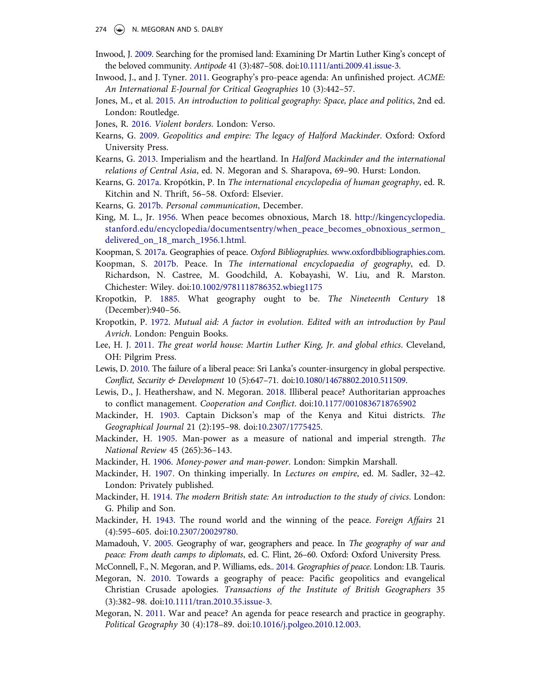- 274 (C) N. MEGORAN AND S. DALBY
- Inwood, J. 2009. Searching for the promised land: Examining Dr Martin Luther King's concept of the beloved community. Antipode 41 (3):487–508. doi:10.1111/anti.2009.41.issue-3.
- Inwood, J., and J. Tyner. 2011. Geography's pro-peace agenda: An unfinished project. ACME: An International E-Journal for Critical Geographies 10 (3):442–57.
- Jones, M., et al. 2015. An introduction to political geography: Space, place and politics, 2nd ed. London: Routledge.
- Jones, R. 2016. Violent borders. London: Verso.
- Kearns, G. 2009. Geopolitics and empire: The legacy of Halford Mackinder. Oxford: Oxford University Press.
- Kearns, G. 2013. Imperialism and the heartland. In Halford Mackinder and the international relations of Central Asia, ed. N. Megoran and S. Sharapova, 69–90. Hurst: London.
- Kearns, G. 2017a. Kropótkin, P. In The international encyclopedia of human geography, ed. R. Kitchin and N. Thrift, 56–58. Oxford: Elsevier.
- Kearns, G. 2017b. Personal communication, December.
- King, M. L., Jr. 1956. When peace becomes obnoxious, March 18. http://kingencyclopedia. stanford.edu/encyclopedia/documentsentry/when\_peace\_becomes\_obnoxious\_sermon\_ delivered\_on\_18\_march\_1956.1.html.
- Koopman, S. 2017a. Geographies of peace. Oxford Bibliographies. www.oxfordbibliographies.com.
- Koopman, S. 2017b. Peace. In The international encyclopaedia of geography, ed. D. Richardson, N. Castree, M. Goodchild, A. Kobayashi, W. Liu, and R. Marston. Chichester: Wiley. doi:10.1002/9781118786352.wbieg1175
- Kropotkin, P. 1885. What geography ought to be. The Nineteenth Century 18 (December):940–56.
- Kropotkin, P. 1972. Mutual aid: A factor in evolution. Edited with an introduction by Paul Avrich. London: Penguin Books.
- Lee, H. J. 2011. The great world house: Martin Luther King, Jr. and global ethics. Cleveland, OH: Pilgrim Press.
- Lewis, D. 2010. The failure of a liberal peace: Sri Lanka's counter-insurgency in global perspective. Conflict, Security & Development 10 (5):647–71. doi:10.1080/14678802.2010.511509.
- Lewis, D., J. Heathershaw, and N. Megoran. 2018. Illiberal peace? Authoritarian approaches to conflict management. Cooperation and Conflict. doi:10.1177/0010836718765902
- Mackinder, H. 1903. Captain Dickson's map of the Kenya and Kitui districts. The Geographical Journal 21 (2):195–98. doi:10.2307/1775425.
- Mackinder, H. 1905. Man-power as a measure of national and imperial strength. The National Review 45 (265):36–143.
- Mackinder, H. 1906. Money-power and man-power. London: Simpkin Marshall.
- Mackinder, H. 1907. On thinking imperially. In Lectures on empire, ed. M. Sadler, 32–42. London: Privately published.
- Mackinder, H. 1914. The modern British state: An introduction to the study of civics. London: G. Philip and Son.
- Mackinder, H. 1943. The round world and the winning of the peace. Foreign Affairs 21 (4):595–605. doi:10.2307/20029780.
- Mamadouh, V. 2005. Geography of war, geographers and peace. In The geography of war and peace: From death camps to diplomats, ed. C. Flint, 26–60. Oxford: Oxford University Press.
- McConnell, F., N. Megoran, and P. Williams, eds.. 2014. Geographies of peace. London: I.B. Tauris. Megoran, N. 2010. Towards a geography of peace: Pacific geopolitics and evangelical Christian Crusade apologies. Transactions of the Institute of British Geographers 35 (3):382–98. doi:10.1111/tran.2010.35.issue-3.
- Megoran, N. 2011. War and peace? An agenda for peace research and practice in geography. Political Geography 30 (4):178–89. doi:10.1016/j.polgeo.2010.12.003.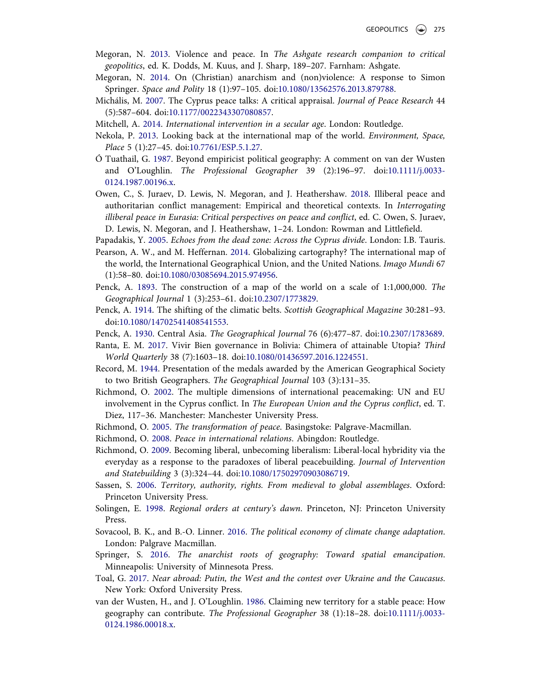- Megoran, N. 2013. Violence and peace. In The Ashgate research companion to critical geopolitics, ed. K. Dodds, M. Kuus, and J. Sharp, 189–207. Farnham: Ashgate.
- Megoran, N. 2014. On (Christian) anarchism and (non)violence: A response to Simon Springer. Space and Polity 18 (1):97–105. doi:10.1080/13562576.2013.879788.
- Michális, M. 2007. The Cyprus peace talks: A critical appraisal. Journal of Peace Research 44 (5):587–604. doi:10.1177/0022343307080857.
- Mitchell, A. 2014. International intervention in a secular age. London: Routledge.
- Nekola, P. 2013. Looking back at the international map of the world. Environment, Space, Place 5 (1):27–45. doi:10.7761/ESP.5.1.27.
- Ó Tuathail, G. 1987. Beyond empiricist political geography: A comment on van der Wusten and O'Loughlin. The Professional Geographer 39 (2):196–97. doi:10.1111/j.0033- 0124.1987.00196.x.
- Owen, C., S. Juraev, D. Lewis, N. Megoran, and J. Heathershaw. 2018. Illiberal peace and authoritarian conflict management: Empirical and theoretical contexts. In Interrogating illiberal peace in Eurasia: Critical perspectives on peace and conflict, ed. C. Owen, S. Juraev, D. Lewis, N. Megoran, and J. Heathershaw, 1–24. London: Rowman and Littlefield.
- Papadakis, Y. 2005. Echoes from the dead zone: Across the Cyprus divide. London: I.B. Tauris.
- Pearson, A. W., and M. Heffernan. 2014. Globalizing cartography? The international map of the world, the International Geographical Union, and the United Nations. Imago Mundi 67 (1):58–80. doi:10.1080/03085694.2015.974956.
- Penck, A. 1893. The construction of a map of the world on a scale of 1:1,000,000. The Geographical Journal 1 (3):253–61. doi:10.2307/1773829.
- Penck, A. 1914. The shifting of the climatic belts. Scottish Geographical Magazine 30:281–93. doi:10.1080/14702541408541553.
- Penck, A. 1930. Central Asia. The Geographical Journal 76 (6):477–87. doi:10.2307/1783689.
- Ranta, E. M. 2017. Vivir Bien governance in Bolivia: Chimera of attainable Utopia? Third World Quarterly 38 (7):1603–18. doi:10.1080/01436597.2016.1224551.
- Record, M. 1944. Presentation of the medals awarded by the American Geographical Society to two British Geographers. The Geographical Journal 103 (3):131–35.
- Richmond, O. 2002. The multiple dimensions of international peacemaking: UN and EU involvement in the Cyprus conflict. In The European Union and the Cyprus conflict, ed. T. Diez, 117–36. Manchester: Manchester University Press.
- Richmond, O. 2005. The transformation of peace. Basingstoke: Palgrave-Macmillan.
- Richmond, O. 2008. Peace in international relations. Abingdon: Routledge.
- Richmond, O. 2009. Becoming liberal, unbecoming liberalism: Liberal-local hybridity via the everyday as a response to the paradoxes of liberal peacebuilding. Journal of Intervention and Statebuilding 3 (3):324–44. doi:10.1080/17502970903086719.
- Sassen, S. 2006. Territory, authority, rights. From medieval to global assemblages. Oxford: Princeton University Press.
- Solingen, E. 1998. Regional orders at century's dawn. Princeton, NJ: Princeton University Press.
- Sovacool, B. K., and B.-O. Linner. 2016. The political economy of climate change adaptation. London: Palgrave Macmillan.
- Springer, S. 2016. The anarchist roots of geography: Toward spatial emancipation. Minneapolis: University of Minnesota Press.
- Toal, G. 2017. Near abroad: Putin, the West and the contest over Ukraine and the Caucasus. New York: Oxford University Press.
- van der Wusten, H., and J. O'Loughlin. 1986. Claiming new territory for a stable peace: How geography can contribute. The Professional Geographer 38 (1):18–28. doi:10.1111/j.0033- 0124.1986.00018.x.